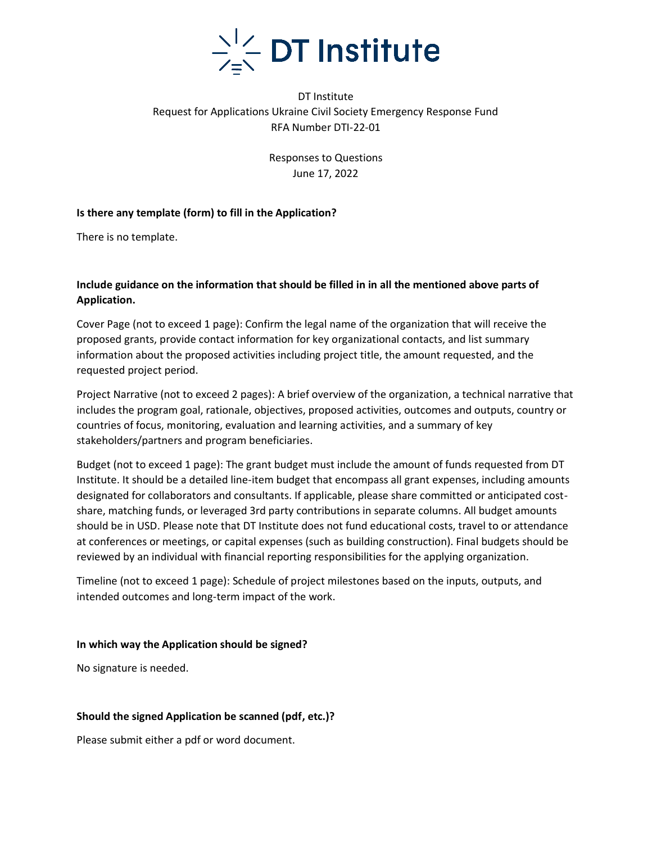

# DT Institute Request for Applications Ukraine Civil Society Emergency Response Fund RFA Number DTI-22-01

Responses to Questions June 17, 2022

#### **Is there any template (form) to fill in the Application?**

There is no template.

### **Include guidance on the information that should be filled in in all the mentioned above parts of Application.**

Cover Page (not to exceed 1 page): Confirm the legal name of the organization that will receive the proposed grants, provide contact information for key organizational contacts, and list summary information about the proposed activities including project title, the amount requested, and the requested project period.

Project Narrative (not to exceed 2 pages): A brief overview of the organization, a technical narrative that includes the program goal, rationale, objectives, proposed activities, outcomes and outputs, country or countries of focus, monitoring, evaluation and learning activities, and a summary of key stakeholders/partners and program beneficiaries.

Budget (not to exceed 1 page): The grant budget must include the amount of funds requested from DT Institute. It should be a detailed line-item budget that encompass all grant expenses, including amounts designated for collaborators and consultants. If applicable, please share committed or anticipated costshare, matching funds, or leveraged 3rd party contributions in separate columns. All budget amounts should be in USD. Please note that DT Institute does not fund educational costs, travel to or attendance at conferences or meetings, or capital expenses (such as building construction). Final budgets should be reviewed by an individual with financial reporting responsibilities for the applying organization.

Timeline (not to exceed 1 page): Schedule of project milestones based on the inputs, outputs, and intended outcomes and long-term impact of the work.

#### **In which way the Application should be signed?**

No signature is needed.

#### **Should the signed Application be scanned (pdf, etc.)?**

Please submit either a pdf or word document.